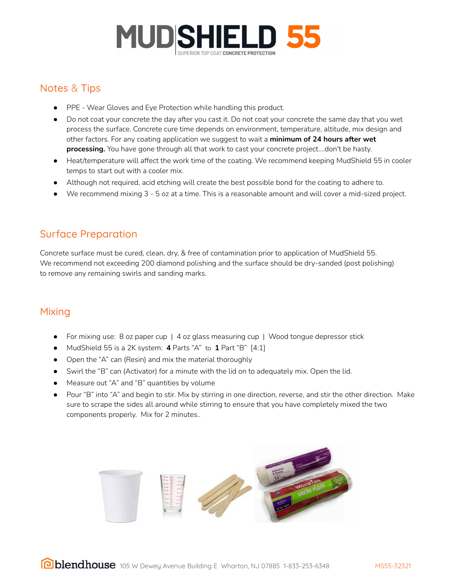

# Notes & Tips

- PPE Wear Gloves and Eye Protection while handling this product.
- Do not coat your concrete the day after you cast it. Do not coat your concrete the same day that you wet process the surface. Concrete cure time depends on environment, temperature, altitude, mix design and other factors. For any coating application we suggest to wait a **minimum of 24 hours after wet processing.** You have gone through all that work to cast your concrete project….don't be hasty.
- Heat/temperature will affect the work time of the coating. We recommend keeping MudShield 55 in cooler temps to start out with a cooler mix.
- Although not required, acid etching will create the best possible bond for the coating to adhere to.
- We recommend mixing 3 5 oz at a time. This is a reasonable amount and will cover a mid-sized project.

# Surface Preparation

Concrete surface must be cured, clean, dry, & free of contamination prior to application of MudShield 55. We recommend not exceeding 200 diamond polishing and the surface should be dry-sanded (post polishing) to remove any remaining swirls and sanding marks.

### Mixing

- For mixing use: 8 oz paper cup | 4 oz glass measuring cup | Wood tongue depressor stick
- MudShield 55 is a 2K system: **4** Parts "A" to **1** Part "B" [4:1]
- Open the "A" can (Resin) and mix the material thoroughly
- Swirl the "B" can (Activator) for a minute with the lid on to adequately mix. Open the lid.
- Measure out "A" and "B" quantities by volume
- Pour "B" into "A" and begin to stir. Mix by stirring in one direction, reverse, and stir the other direction. Make sure to scrape the sides all around while stirring to ensure that you have completely mixed the two components properly. Mix for 2 minutes..